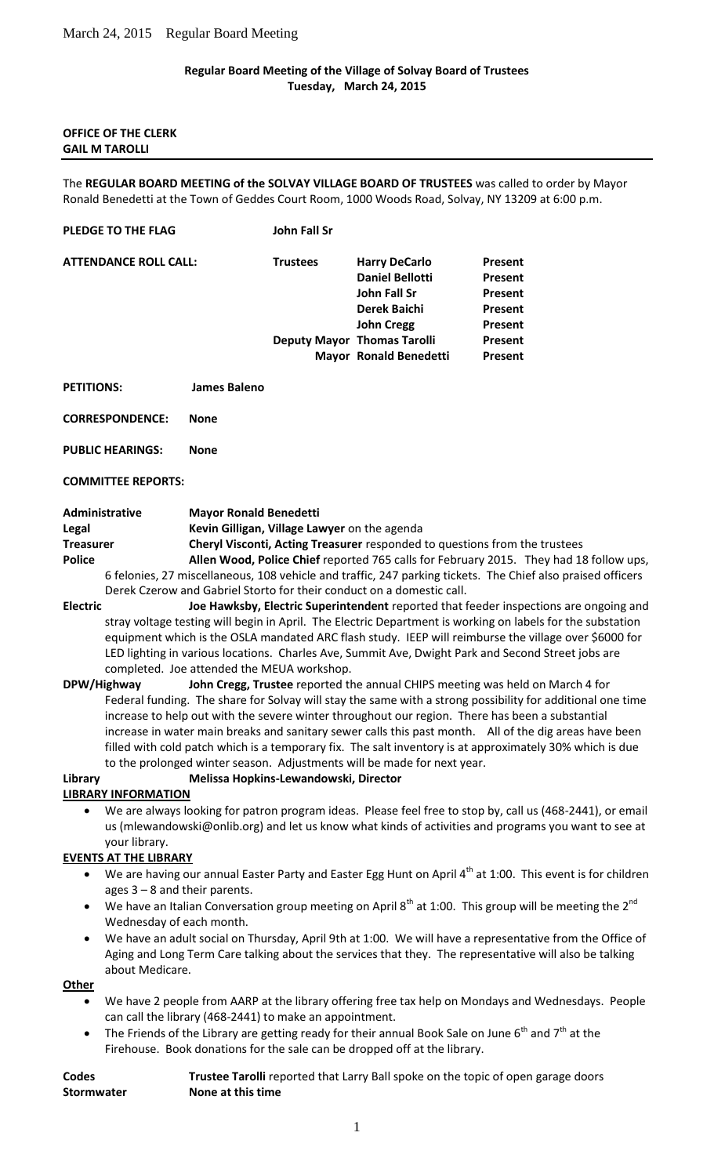## **Regular Board Meeting of the Village of Solvay Board of Trustees Tuesday, March 24, 2015**

### **OFFICE OF THE CLERK GAIL M TAROLLI**

The **REGULAR BOARD MEETING of the SOLVAY VILLAGE BOARD OF TRUSTEES** was called to order by Mayor Ronald Benedetti at the Town of Geddes Court Room, 1000 Woods Road, Solvay, NY 13209 at 6:00 p.m.

#### **PLEDGE TO THE FLAG John Fall Sr**

| <b>ATTENDANCE ROLL CALL:</b> | <b>Trustees</b> | <b>Harry DeCarlo</b>               | Present |
|------------------------------|-----------------|------------------------------------|---------|
|                              |                 | <b>Daniel Bellotti</b>             | Present |
|                              |                 | John Fall Sr                       | Present |
|                              |                 | <b>Derek Baichi</b>                | Present |
|                              |                 | <b>John Cregg</b>                  | Present |
|                              |                 | <b>Deputy Mayor Thomas Tarolli</b> | Present |
|                              |                 | <b>Mayor Ronald Benedetti</b>      | Present |
|                              |                 |                                    |         |

**PETITIONS: James Baleno**

**CORRESPONDENCE: None**

**PUBLIC HEARINGS: None**

**COMMITTEE REPORTS:**

| Administrative | <b>Mayor Ronald Benedetti</b> |
|----------------|-------------------------------|
|                |                               |

**Legal Kevin Gilligan, Village Lawyer** on the agenda

**Treasurer Cheryl Visconti, Acting Treasurer** responded to questions from the trustees **Police Allen Wood, Police Chief** reported 765 calls for February 2015. They had 18 follow ups, 6 felonies, 27 miscellaneous, 108 vehicle and traffic, 247 parking tickets. The Chief also praised officers Derek Czerow and Gabriel Storto for their conduct on a domestic call.

- **Electric Joe Hawksby, Electric Superintendent** reported that feeder inspections are ongoing and stray voltage testing will begin in April. The Electric Department is working on labels for the substation equipment which is the OSLA mandated ARC flash study. IEEP will reimburse the village over \$6000 for LED lighting in various locations. Charles Ave, Summit Ave, Dwight Park and Second Street jobs are completed. Joe attended the MEUA workshop.
- **DPW/Highway John Cregg, Trustee** reported the annual CHIPS meeting was held on March 4 for Federal funding. The share for Solvay will stay the same with a strong possibility for additional one time increase to help out with the severe winter throughout our region. There has been a substantial increase in water main breaks and sanitary sewer calls this past month. All of the dig areas have been filled with cold patch which is a temporary fix. The salt inventory is at approximately 30% which is due to the prolonged winter season. Adjustments will be made for next year.

#### **Library Melissa Hopkins-Lewandowski, Director**

### **LIBRARY INFORMATION**

 We are always looking for patron program ideas. Please feel free to stop by, call us (468-2441), or email us (mlewandowski@onlib.org) and let us know what kinds of activities and programs you want to see at your library.

# **EVENTS AT THE LIBRARY**

- We are having our annual Easter Party and Easter Egg Hunt on April  $4^{th}$  at 1:00. This event is for children ages 3 – 8 and their parents.
- We have an Italian Conversation group meeting on April 8<sup>th</sup> at 1:00. This group will be meeting the 2<sup>nd</sup> Wednesday of each month.
- We have an adult social on Thursday, April 9th at 1:00. We will have a representative from the Office of Aging and Long Term Care talking about the services that they. The representative will also be talking about Medicare.

**Other**

- We have 2 people from AARP at the library offering free tax help on Mondays and Wednesdays. People can call the library (468-2441) to make an appointment.
- The Friends of the Library are getting ready for their annual Book Sale on June  $6<sup>th</sup>$  and  $7<sup>th</sup>$  at the Firehouse. Book donations for the sale can be dropped off at the library.

| Codes             | Trustee Tarolli reported that Larry Ball spoke on the topic of open garage doors |
|-------------------|----------------------------------------------------------------------------------|
| <b>Stormwater</b> | None at this time                                                                |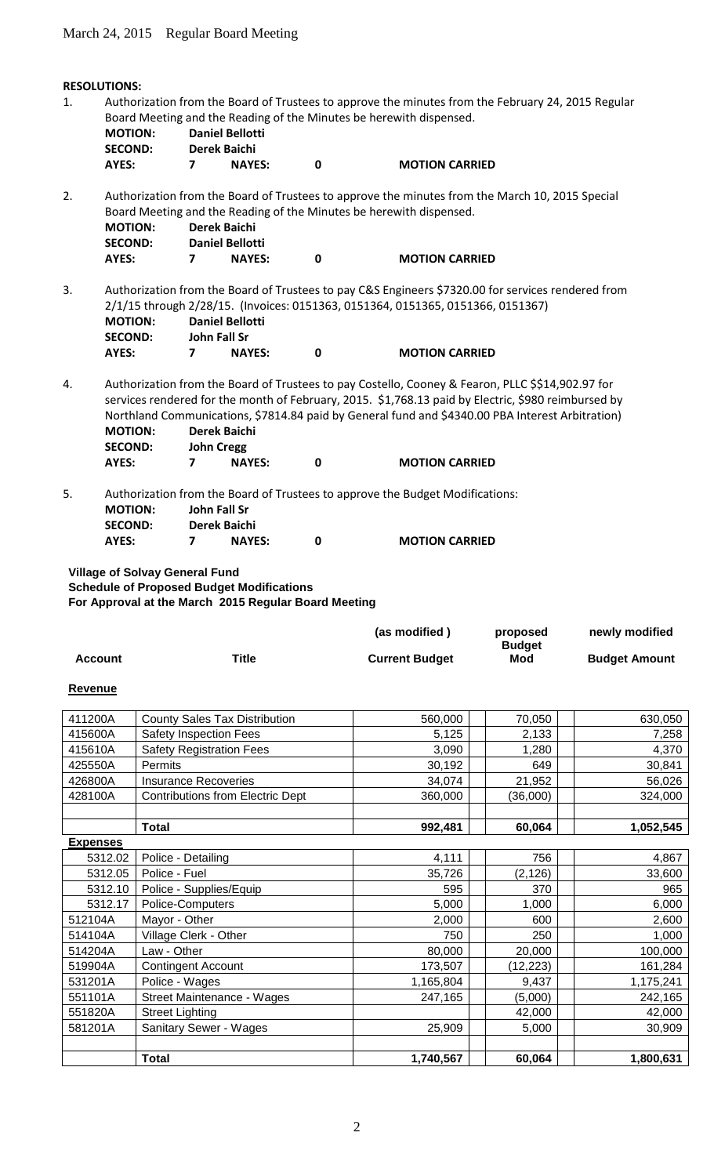# **RESOLUTIONS:** 1. Authorization from the Board of Trustees to approve the minutes from the February 24, 2015 Regular Board Meeting and the Reading of the Minutes be herewith dispensed. **MOTION: Daniel Bellotti SECOND: Derek Baichi AYES: 7 NAYES: 0 MOTION CARRIED** 2. Authorization from the Board of Trustees to approve the minutes from the March 10, 2015 Special Board Meeting and the Reading of the Minutes be herewith dispensed. **MOTION: Derek Baichi SECOND: Daniel Bellotti AYES: 7 NAYES: 0 MOTION CARRIED** 3. Authorization from the Board of Trustees to pay C&S Engineers \$7320.00 for services rendered from 2/1/15 through 2/28/15. (Invoices: 0151363, 0151364, 0151365, 0151366, 0151367)  **MOTION: Daniel Bellotti SECOND: John Fall Sr AYES: 7 NAYES: 0 MOTION CARRIED** 4. Authorization from the Board of Trustees to pay Costello, Cooney & Fearon, PLLC \$\$14,902.97 for services rendered for the month of February, 2015. \$1,768.13 paid by Electric, \$980 reimbursed by Northland Communications, \$7814.84 paid by General fund and \$4340.00 PBA Interest Arbitration) **MOTION: Derek Baichi SECOND: John Cregg AYES: 7 NAYES: 0 MOTION CARRIED** 5. Authorization from the Board of Trustees to approve the Budget Modifications: **MOTION: John Fall Sr SECOND: Derek Baichi AYES: 7 NAYES: 0 MOTION CARRIED**

**Village of Solvay General Fund Schedule of Proposed Budget Modifications For Approval at the March 2015 Regular Board Meeting**

|         |       | (as modified)         | proposed             | newly modified       |
|---------|-------|-----------------------|----------------------|----------------------|
| Account | Title | <b>Current Budget</b> | <b>Budget</b><br>Mod | <b>Budget Amount</b> |
|         |       |                       |                      |                      |

### **Revenue**

| 411200A         | <b>County Sales Tax Distribution</b>    | 560,000   | 70,050    | 630,050   |
|-----------------|-----------------------------------------|-----------|-----------|-----------|
| 415600A         | <b>Safety Inspection Fees</b>           | 5,125     | 2,133     | 7,258     |
| 415610A         | <b>Safety Registration Fees</b>         | 3,090     | 1,280     | 4,370     |
| 425550A         | Permits                                 | 30,192    | 649       | 30,841    |
| 426800A         | <b>Insurance Recoveries</b>             | 34,074    | 21,952    | 56,026    |
| 428100A         | <b>Contributions from Electric Dept</b> | 360,000   | (36,000)  | 324,000   |
|                 |                                         |           |           |           |
|                 | <b>Total</b>                            | 992,481   | 60,064    | 1,052,545 |
| <b>Expenses</b> |                                         |           |           |           |
| 5312.02         | Police - Detailing                      | 4,111     | 756       | 4,867     |
| 5312.05         | Police - Fuel                           | 35,726    | (2, 126)  | 33,600    |
| 5312.10         | Police - Supplies/Equip                 | 595       | 370       | 965       |
| 5312.17         | Police-Computers                        | 5,000     | 1,000     | 6,000     |
| 512104A         | Mayor - Other                           | 2,000     | 600       | 2,600     |
| 514104A         | Village Clerk - Other                   | 750       | 250       | 1,000     |
| 514204A         | Law - Other                             | 80,000    | 20,000    | 100,000   |
| 519904A         | <b>Contingent Account</b>               | 173,507   | (12, 223) | 161,284   |
| 531201A         | Police - Wages                          | 1,165,804 | 9,437     | 1,175,241 |
| 551101A         | Street Maintenance - Wages              | 247,165   | (5,000)   | 242,165   |
| 551820A         | <b>Street Lighting</b>                  |           | 42,000    | 42,000    |
| 581201A         | Sanitary Sewer - Wages                  | 25,909    | 5,000     | 30,909    |
|                 |                                         |           |           |           |
|                 | <b>Total</b>                            | 1,740,567 | 60,064    | 1,800,631 |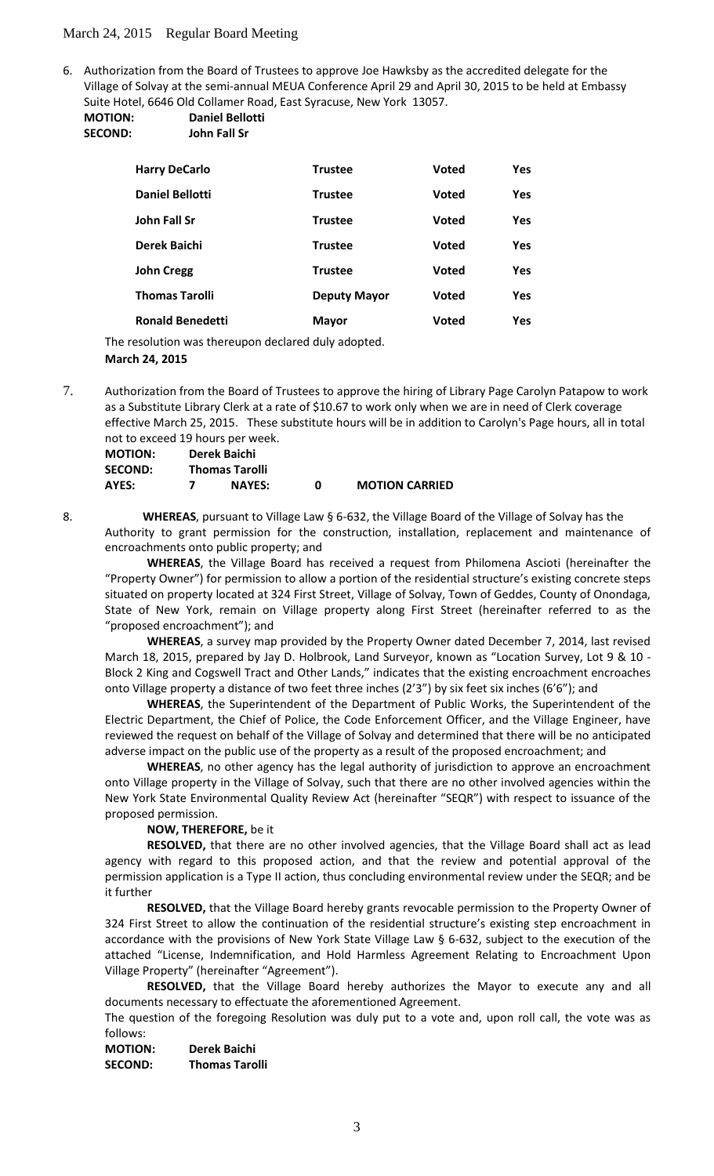## March 24, 2015 Regular Board Meeting

6. Authorization from the Board of Trustees to approve Joe Hawksby as the accredited delegate for the Village of Solvay at the semi-annual MEUA Conference April 29 and April 30, 2015 to be held at Embassy Suite Hotel, 6646 Old Collamer Road, East Syracuse, New York 13057.

**MOTION: Daniel Bellotti SECOND: John Fall Sr**

| <b>Harry DeCarlo</b>    | Trustee             | <b>Voted</b> | Yes        |
|-------------------------|---------------------|--------------|------------|
| <b>Daniel Bellotti</b>  | <b>Trustee</b>      | <b>Voted</b> | Yes        |
| John Fall Sr            | Trustee             | <b>Voted</b> | <b>Yes</b> |
| Derek Baichi            | <b>Trustee</b>      | <b>Voted</b> | <b>Yes</b> |
| <b>John Cregg</b>       | <b>Trustee</b>      | <b>Voted</b> | Yes        |
| <b>Thomas Tarolli</b>   | <b>Deputy Mayor</b> | <b>Voted</b> | Yes        |
| <b>Ronald Benedetti</b> | <b>Mayor</b>        | Voted        | Yes        |

The resolution was thereupon declared duly adopted. **March 24, 2015**

7. Authorization from the Board of Trustees to approve the hiring of Library Page Carolyn Patapow to work as a Substitute Library Clerk at a rate of \$10.67 to work only when we are in need of Clerk coverage effective March 25, 2015. These substitute hours will be in addition to Carolyn's Page hours, all in total not to exceed 19 hours per week.

| <b>MOTION:</b> | Derek Baichi          |   |                       |
|----------------|-----------------------|---|-----------------------|
| <b>SECOND:</b> | <b>Thomas Tarolli</b> |   |                       |
| AYES:          | <b>NAYES:</b>         | n | <b>MOTION CARRIED</b> |

8. **WHEREAS**, pursuant to Village Law § 6-632, the Village Board of the Village of Solvay has the Authority to grant permission for the construction, installation, replacement and maintenance of encroachments onto public property; and

**WHEREAS**, the Village Board has received a request from Philomena Ascioti (hereinafter the "Property Owner") for permission to allow a portion of the residential structure's existing concrete steps situated on property located at 324 First Street, Village of Solvay, Town of Geddes, County of Onondaga, State of New York, remain on Village property along First Street (hereinafter referred to as the "proposed encroachment"); and

**WHEREAS**, a survey map provided by the Property Owner dated December 7, 2014, last revised March 18, 2015, prepared by Jay D. Holbrook, Land Surveyor, known as "Location Survey, Lot 9 & 10 - Block 2 King and Cogswell Tract and Other Lands," indicates that the existing encroachment encroaches onto Village property a distance of two feet three inches (2'3") by six feet six inches (6'6"); and

**WHEREAS**, the Superintendent of the Department of Public Works, the Superintendent of the Electric Department, the Chief of Police, the Code Enforcement Officer, and the Village Engineer, have reviewed the request on behalf of the Village of Solvay and determined that there will be no anticipated adverse impact on the public use of the property as a result of the proposed encroachment; and

**WHEREAS**, no other agency has the legal authority of jurisdiction to approve an encroachment onto Village property in the Village of Solvay, such that there are no other involved agencies within the New York State Environmental Quality Review Act (hereinafter "SEQR") with respect to issuance of the proposed permission.

### **NOW, THEREFORE,** be it

**RESOLVED,** that there are no other involved agencies, that the Village Board shall act as lead agency with regard to this proposed action, and that the review and potential approval of the permission application is a Type II action, thus concluding environmental review under the SEQR; and be it further

**RESOLVED,** that the Village Board hereby grants revocable permission to the Property Owner of 324 First Street to allow the continuation of the residential structure's existing step encroachment in accordance with the provisions of New York State Village Law § 6-632, subject to the execution of the attached "License, Indemnification, and Hold Harmless Agreement Relating to Encroachment Upon Village Property" (hereinafter "Agreement").

**RESOLVED,** that the Village Board hereby authorizes the Mayor to execute any and all documents necessary to effectuate the aforementioned Agreement.

The question of the foregoing Resolution was duly put to a vote and, upon roll call, the vote was as follows:

**MOTION: Derek Baichi SECOND: Thomas Tarolli**